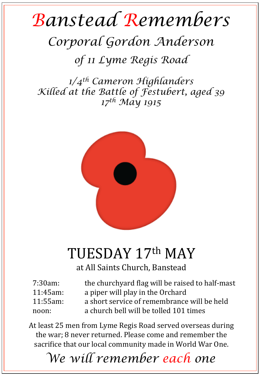## *Banstead Remembers*

## *Corporal Gordon Anderson*

*of 11 Lyme Regis Road* 

*1/4th Cameron Highlanders Killed at the Battle of Festubert, aged 39 17th May 1915* 



## TUESDAY 17th MAY

at All Saints Church, Banstead

| $7:30am$ :  | the churchyard flag will be raised to half-mast |
|-------------|-------------------------------------------------|
| $11:45$ am: | a piper will play in the Orchard                |
| 11:55am:    | a short service of remembrance will be held     |
| noon:       | a church bell will be tolled 101 times          |

At least 25 men from Lyme Regis Road served overseas during the war; 8 never returned. Please come and remember the sacrifice that our local community made in World War One.

*We will remember each one*